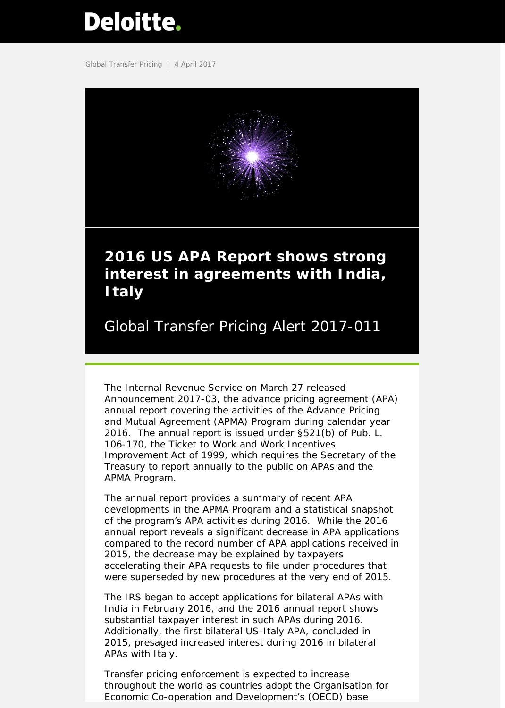# <span id="page-0-0"></span>Deloitte.

Global Transfer Pricing | 4 April 2017



## **2016 US APA Report shows strong interest in agreements with India, Italy**

Global Transfer Pricing Alert 2017-011

The Internal Revenue Service on March 27 released Announcement 2017-03, the advance pricing agreement (APA) annual report covering the activities of the Advance Pricing and Mutual Agreement (APMA) Program during calendar year 2016. The annual report is issued under §521(b) of Pub. L. 106-170, the Ticket to Work and Work Incentives Improvement Act of 1999, which requires the Secretary of the Treasury to report annually to the public on APAs and the APMA Program.

The annual report provides a summary of recent APA developments in the APMA Program and a statistical snapshot of the program's APA activities during 2016. While the 2016 annual report reveals a significant decrease in APA applications compared to the record number of APA applications received in 2015, the decrease may be explained by taxpayers accelerating their APA requests to file under procedures that were superseded by new procedures at the very end of 2015.

The IRS began to accept applications for bilateral APAs with India in February 2016, and the 2016 annual report shows substantial taxpayer interest in such APAs during 2016. Additionally, the first bilateral US-Italy APA, concluded in 2015, presaged increased interest during 2016 in bilateral APAs with Italy.

Transfer pricing enforcement is expected to increase throughout the world as countries adopt the Organisation for Economic Co-operation and Development's (OECD) base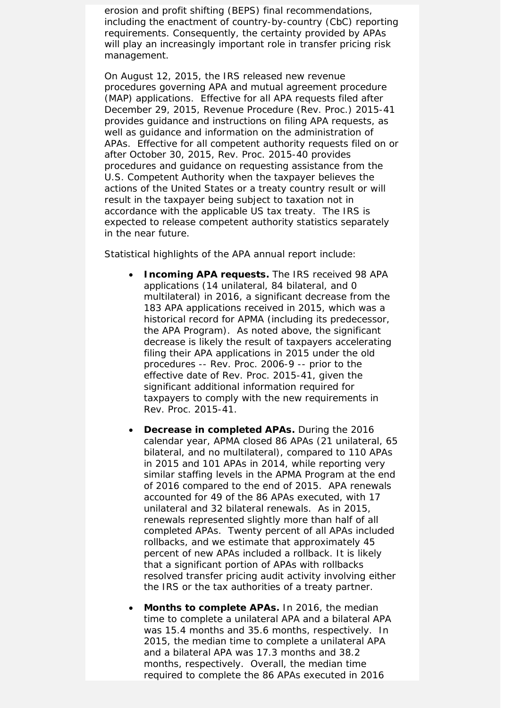erosion and profit shifting (BEPS) final recommendations, including the enactment of country-by-country (CbC) reporting requirements. Consequently, the certainty provided by APAs will play an increasingly important role in transfer pricing risk management.

On August 12, 2015, the IRS released new revenue procedures governing APA and mutual agreement procedure (MAP) applications. Effective for all APA requests filed after December 29, 2015, Revenue Procedure (Rev. Proc.) 2015-41 provides guidance and instructions on filing APA requests, as well as guidance and information on the administration of APAs. Effective for all competent authority requests filed on or after October 30, 2015, Rev. Proc. 2015-40 provides procedures and guidance on requesting assistance from the U.S. Competent Authority when the taxpayer believes the actions of the United States or a treaty country result or will result in the taxpayer being subject to taxation not in accordance with the applicable US tax treaty. The IRS is expected to release competent authority statistics separately in the near future.

Statistical highlights of the APA annual report include:

- *Incoming APA requests.* The IRS received 98 APA applications (14 unilateral, 84 bilateral, and 0 multilateral) in 2016, a significant decrease from the 183 APA applications received in 2015, which was a historical record for APMA (including its predecessor, the APA Program). As noted above, the significant decrease is likely the result of taxpayers accelerating filing their APA applications in 2015 under the old procedures -- Rev. Proc. 2006-9 -- prior to the effective date of Rev. Proc. 2015-41, given the significant additional information required for taxpayers to comply with the new requirements in Rev. Proc. 2015-41.
- *Decrease in completed APAs.* During the 2016 calendar year, APMA closed 86 APAs (21 unilateral, 65 bilateral, and no multilateral), compared to 110 APAs in 2015 and 101 APAs in 2014, while reporting very similar staffing levels in the APMA Program at the end of 2016 compared to the end of 2015. APA renewals accounted for 49 of the 86 APAs executed, with 17 unilateral and 32 bilateral renewals. As in 2015, renewals represented slightly more than half of all completed APAs. Twenty percent of all APAs included rollbacks, and we estimate that approximately 45 percent of new APAs included a rollback. It is likely that a significant portion of APAs with rollbacks resolved transfer pricing audit activity involving either the IRS or the tax authorities of a treaty partner.
- *Months to complete APAs.* In 2016, the median time to complete a unilateral APA and a bilateral APA was 15.4 months and 35.6 months, respectively. In 2015, the median time to complete a unilateral APA and a bilateral APA was 17.3 months and 38.2 months, respectively. Overall, the median time required to complete the 86 APAs executed in 2016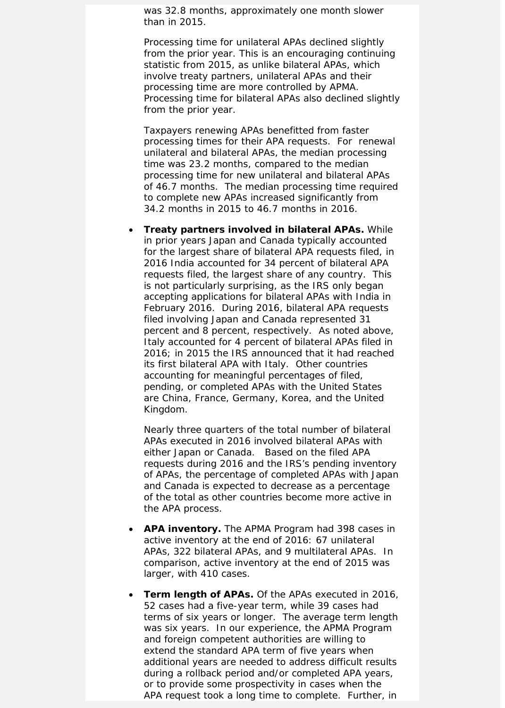was 32.8 months, approximately one month slower than in 2015.

Processing time for unilateral APAs declined slightly from the prior year. This is an encouraging continuing statistic from 2015, as unlike bilateral APAs, which involve treaty partners, unilateral APAs and their processing time are more controlled by APMA. Processing time for bilateral APAs also declined slightly from the prior year.

Taxpayers renewing APAs benefitted from faster processing times for their APA requests. For renewal unilateral and bilateral APAs, the median processing time was 23.2 months, compared to the median processing time for new unilateral and bilateral APAs of 46.7 months. The median processing time required to complete new APAs increased significantly from 34.2 months in 2015 to 46.7 months in 2016.

• *Treaty partners involved in bilateral APAs.* While in prior years Japan and Canada typically accounted for the largest share of bilateral APA requests filed, in 2016 India accounted for 34 percent of bilateral APA requests filed, the largest share of any country. This is not particularly surprising, as the IRS only began accepting applications for bilateral APAs with India in February 2016. During 2016, bilateral APA requests filed involving Japan and Canada represented 31 percent and 8 percent, respectively. As noted above, Italy accounted for 4 percent of bilateral APAs filed in 2016; in 2015 the IRS announced that it had reached its first bilateral APA with Italy. Other countries accounting for meaningful percentages of filed, pending, or completed APAs with the United States are China, France, Germany, Korea, and the United Kingdom.

Nearly three quarters of the total number of bilateral APAs executed in 2016 involved bilateral APAs with either Japan or Canada. Based on the filed APA requests during 2016 and the IRS's pending inventory of APAs, the percentage of completed APAs with Japan and Canada is expected to decrease as a percentage of the total as other countries become more active in the APA process.

- *APA inventory.* The APMA Program had 398 cases in active inventory at the end of 2016: 67 unilateral APAs, 322 bilateral APAs, and 9 multilateral APAs. In comparison, active inventory at the end of 2015 was larger, with 410 cases.
- **Term length of APAs.** Of the APAs executed in 2016, 52 cases had a five-year term, while 39 cases had terms of six years or longer. The average term length was six years. In our experience, the APMA Program and foreign competent authorities are willing to extend the standard APA term of five years when additional years are needed to address difficult results during a rollback period and/or completed APA years, or to provide some prospectivity in cases when the APA request took a long time to complete. Further, in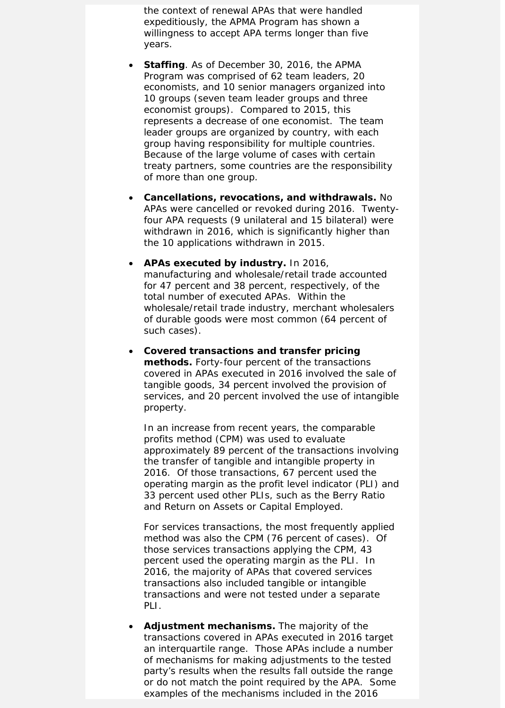the context of renewal APAs that were handled expeditiously, the APMA Program has shown a willingness to accept APA terms longer than five years.

- *Staffing.* As of December 30, 2016, the APMA Program was comprised of 62 team leaders, 20 economists, and 10 senior managers organized into 10 groups (seven team leader groups and three economist groups). Compared to 2015, this represents a decrease of one economist. The team leader groups are organized by country, with each group having responsibility for multiple countries. Because of the large volume of cases with certain treaty partners, some countries are the responsibility of more than one group.
- *Cancellations, revocations, and withdrawals***.** No APAs were cancelled or revoked during 2016. Twentyfour APA requests (9 unilateral and 15 bilateral) were withdrawn in 2016, which is significantly higher than the 10 applications withdrawn in 2015.
- *APAs executed by industry.* In 2016, manufacturing and wholesale/retail trade accounted for 47 percent and 38 percent, respectively, of the total number of executed APAs. Within the wholesale/retail trade industry, merchant wholesalers of durable goods were most common (64 percent of such cases).
- *Covered transactions and transfer pricing methods.* Forty-four percent of the transactions covered in APAs executed in 2016 involved the sale of tangible goods, 34 percent involved the provision of services, and 20 percent involved the use of intangible property.

In an increase from recent years, the comparable profits method (CPM) was used to evaluate approximately 89 percent of the transactions involving the transfer of tangible and intangible property in 2016. Of those transactions, 67 percent used the operating margin as the profit level indicator (PLI) and 33 percent used other PLIs, such as the Berry Ratio and Return on Assets or Capital Employed.

For services transactions, the most frequently applied method was also the CPM (76 percent of cases). Of those services transactions applying the CPM, 43 percent used the operating margin as the PLI. In 2016, the majority of APAs that covered services transactions also included tangible or intangible transactions and were not tested under a separate PLI.

• *Adjustment mechanisms.* The majority of the transactions covered in APAs executed in 2016 target an interquartile range. Those APAs include a number of mechanisms for making adjustments to the tested party's results when the results fall outside the range or do not match the point required by the APA. Some examples of the mechanisms included in the 2016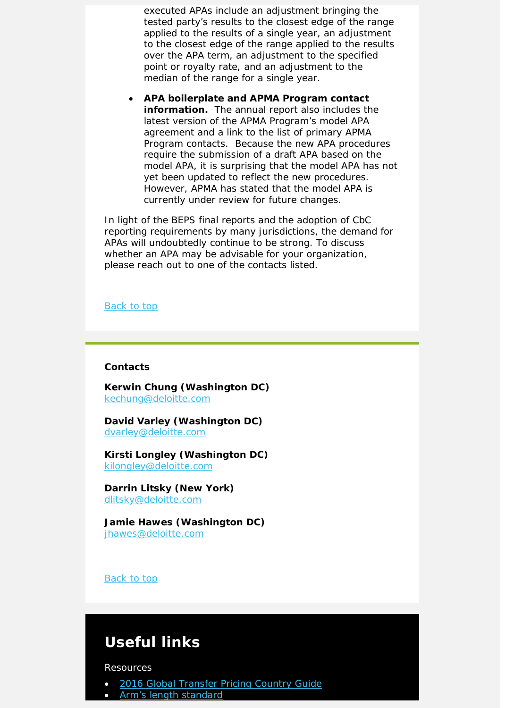executed APAs include an adjustment bringing the tested party's results to the closest edge of the range applied to the results of a single year, an adjustment to the closest edge of the range applied to the results over the APA term, an adjustment to the specified point or royalty rate, and an adjustment to the median of the range for a single year.

• *APA boilerplate and APMA Program contact information.* The annual report also includes the latest version of the APMA Program's model APA agreement and a link to the list of primary APMA Program contacts. Because the new APA procedures require the submission of a draft APA based on the model APA, it is surprising that the model APA has not yet been updated to reflect the new procedures. However, APMA has stated that the model APA is currently under review for future changes.

In light of the BEPS final reports and the adoption of CbC reporting requirements by many jurisdictions, the demand for APAs will undoubtedly continue to be strong. To discuss whether an APA may be advisable for your organization, please reach out to one of the contacts listed.

#### Back to top

#### **Contacts**

**Kerwin Chung (Washington DC)** [kechung@deloitte.com](mailto:kechung@deloitte.com)

**David Varley (Washington DC)** [dvarley@deloitte.com](mailto:dvarley@deloitte.com)

**Kirsti Longley (Washington DC)** [kilongley@deloitte.com](mailto:kilongley@deloitte.com)

**Darrin Litsky (New York)** [dlitsky@deloitte.com](mailto:dlitsky@deloitte.com)

**Jamie Hawes (Washington DC)** [jhawes@deloitte.com](mailto:jhawes@deloitte.com)

Back to top

### **Useful links**

Resources

- [2016 Global Transfer Pricing Country Guide](https://www2.deloitte.com/us/en/pages/tax/articles/global-transfer-pricing-country-guide.html)
- [Arm's length standard](http://www2.deloitte.com/global/en/pages/tax/articles/arms-length-standard.html)